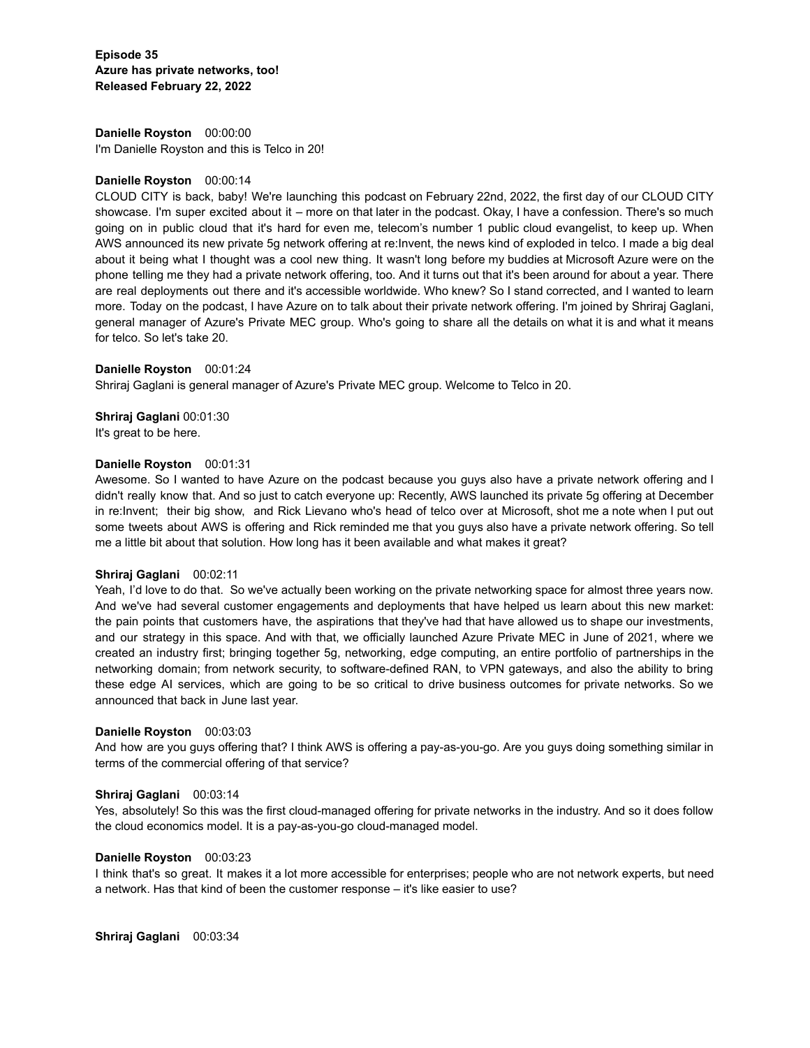**Episode 35 Azure has private networks, too! Released February 22, 2022**

**Danielle Royston** 00:00:00 I'm Danielle Royston and this is Telco in 20!

# **Danielle Royston** 00:00:14

CLOUD CITY is back, baby! We're launching this podcast on February 22nd, 2022, the first day of our CLOUD CITY showcase. I'm super excited about it – more on that later in the podcast. Okay, I have a confession. There's so much going on in public cloud that it's hard for even me, telecom's number 1 public cloud evangelist, to keep up. When AWS announced its new private 5g network offering at re:Invent, the news kind of exploded in telco. I made a big deal about it being what I thought was a cool new thing. It wasn't long before my buddies at Microsoft Azure were on the phone telling me they had a private network offering, too. And it turns out that it's been around for about a year. There are real deployments out there and it's accessible worldwide. Who knew? So I stand corrected, and I wanted to learn more. Today on the podcast, I have Azure on to talk about their private network offering. I'm joined by Shriraj Gaglani, general manager of Azure's Private MEC group. Who's going to share all the details on what it is and what it means for telco. So let's take 20.

### **Danielle Royston** 00:01:24

Shriraj Gaglani is general manager of Azure's Private MEC group. Welcome to Telco in 20.

**Shriraj Gaglani** 00:01:30 It's great to be here.

# **Danielle Royston** 00:01:31

Awesome. So I wanted to have Azure on the podcast because you guys also have a private network offering and I didn't really know that. And so just to catch everyone up: Recently, AWS launched its private 5g offering at December in re:Invent; their big show, and Rick Lievano who's head of telco over at Microsoft, shot me a note when I put out some tweets about AWS is offering and Rick reminded me that you guys also have a private network offering. So tell me a little bit about that solution. How long has it been available and what makes it great?

### **Shriraj Gaglani** 00:02:11

Yeah, I'd love to do that. So we've actually been working on the private networking space for almost three years now. And we've had several customer engagements and deployments that have helped us learn about this new market: the pain points that customers have, the aspirations that they've had that have allowed us to shape our investments, and our strategy in this space. And with that, we officially launched Azure Private MEC in June of 2021, where we created an industry first; bringing together 5g, networking, edge computing, an entire portfolio of partnerships in the networking domain; from network security, to software-defined RAN, to VPN gateways, and also the ability to bring these edge AI services, which are going to be so critical to drive business outcomes for private networks. So we announced that back in June last year.

### **Danielle Royston** 00:03:03

And how are you guys offering that? I think AWS is offering a pay-as-you-go. Are you guys doing something similar in terms of the commercial offering of that service?

# **Shriraj Gaglani** 00:03:14

Yes, absolutely! So this was the first cloud-managed offering for private networks in the industry. And so it does follow the cloud economics model. It is a pay-as-you-go cloud-managed model.

### **Danielle Royston** 00:03:23

I think that's so great. It makes it a lot more accessible for enterprises; people who are not network experts, but need a network. Has that kind of been the customer response – it's like easier to use?

**Shriraj Gaglani** 00:03:34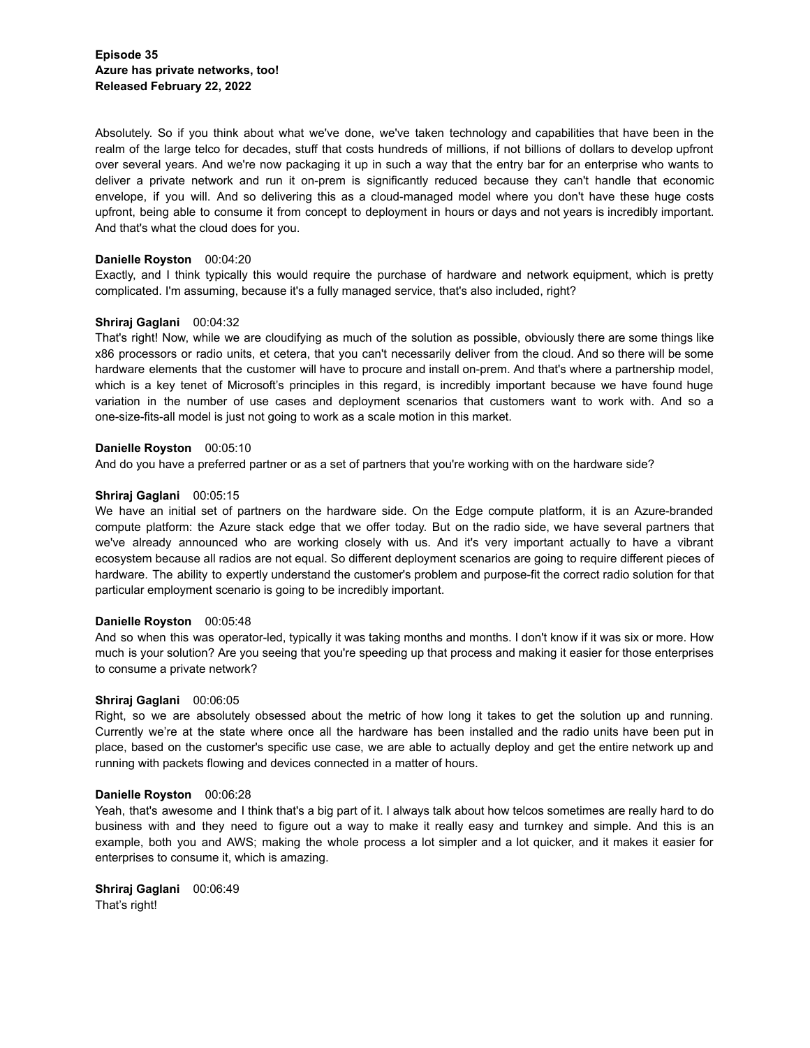Absolutely. So if you think about what we've done, we've taken technology and capabilities that have been in the realm of the large telco for decades, stuff that costs hundreds of millions, if not billions of dollars to develop upfront over several years. And we're now packaging it up in such a way that the entry bar for an enterprise who wants to deliver a private network and run it on-prem is significantly reduced because they can't handle that economic envelope, if you will. And so delivering this as a cloud-managed model where you don't have these huge costs upfront, being able to consume it from concept to deployment in hours or days and not years is incredibly important. And that's what the cloud does for you.

# **Danielle Royston** 00:04:20

Exactly, and I think typically this would require the purchase of hardware and network equipment, which is pretty complicated. I'm assuming, because it's a fully managed service, that's also included, right?

# **Shriraj Gaglani** 00:04:32

That's right! Now, while we are cloudifying as much of the solution as possible, obviously there are some things like x86 processors or radio units, et cetera, that you can't necessarily deliver from the cloud. And so there will be some hardware elements that the customer will have to procure and install on-prem. And that's where a partnership model, which is a key tenet of Microsoft's principles in this regard, is incredibly important because we have found huge variation in the number of use cases and deployment scenarios that customers want to work with. And so a one-size-fits-all model is just not going to work as a scale motion in this market.

# **Danielle Royston** 00:05:10

And do you have a preferred partner or as a set of partners that you're working with on the hardware side?

### **Shriraj Gaglani** 00:05:15

We have an initial set of partners on the hardware side. On the Edge compute platform, it is an Azure-branded compute platform: the Azure stack edge that we offer today. But on the radio side, we have several partners that we've already announced who are working closely with us. And it's very important actually to have a vibrant ecosystem because all radios are not equal. So different deployment scenarios are going to require different pieces of hardware. The ability to expertly understand the customer's problem and purpose-fit the correct radio solution for that particular employment scenario is going to be incredibly important.

### **Danielle Royston** 00:05:48

And so when this was operator-led, typically it was taking months and months. I don't know if it was six or more. How much is your solution? Are you seeing that you're speeding up that process and making it easier for those enterprises to consume a private network?

### **Shriraj Gaglani** 00:06:05

Right, so we are absolutely obsessed about the metric of how long it takes to get the solution up and running. Currently we're at the state where once all the hardware has been installed and the radio units have been put in place, based on the customer's specific use case, we are able to actually deploy and get the entire network up and running with packets flowing and devices connected in a matter of hours.

### **Danielle Royston** 00:06:28

Yeah, that's awesome and I think that's a big part of it. I always talk about how telcos sometimes are really hard to do business with and they need to figure out a way to make it really easy and turnkey and simple. And this is an example, both you and AWS; making the whole process a lot simpler and a lot quicker, and it makes it easier for enterprises to consume it, which is amazing.

**Shriraj Gaglani** 00:06:49 That's right!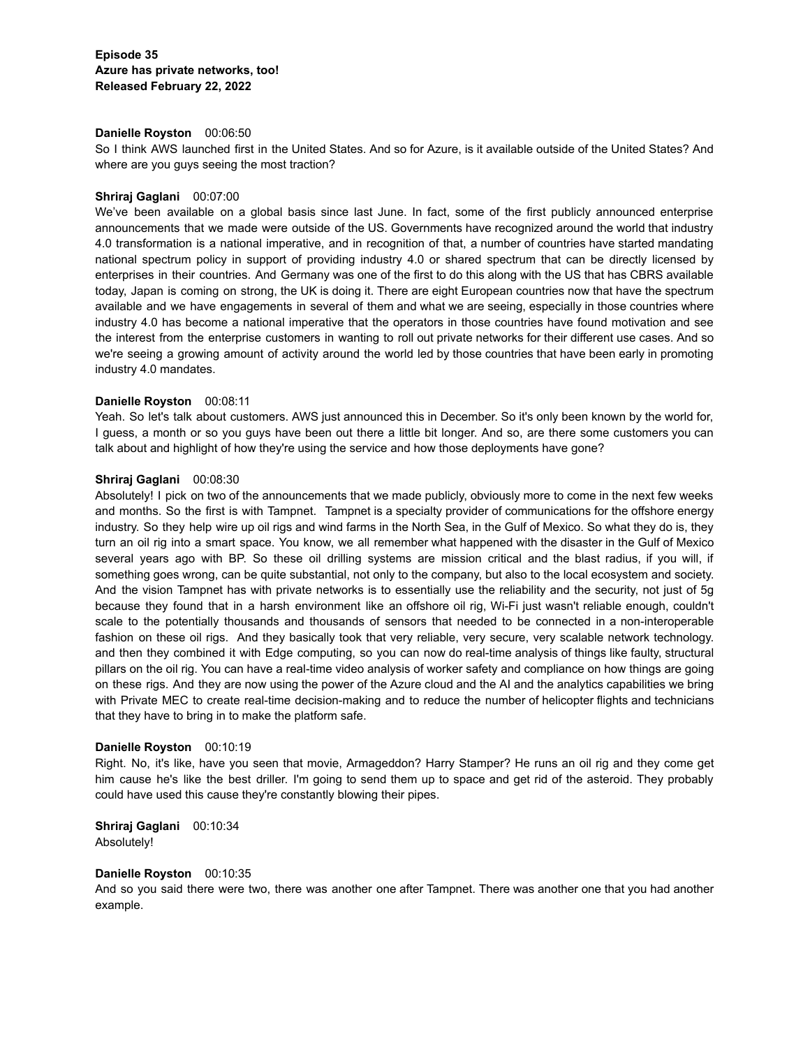# **Danielle Royston** 00:06:50

So I think AWS launched first in the United States. And so for Azure, is it available outside of the United States? And where are you guys seeing the most traction?

# **Shriraj Gaglani** 00:07:00

We've been available on a global basis since last June. In fact, some of the first publicly announced enterprise announcements that we made were outside of the US. Governments have recognized around the world that industry 4.0 transformation is a national imperative, and in recognition of that, a number of countries have started mandating national spectrum policy in support of providing industry 4.0 or shared spectrum that can be directly licensed by enterprises in their countries. And Germany was one of the first to do this along with the US that has CBRS available today, Japan is coming on strong, the UK is doing it. There are eight European countries now that have the spectrum available and we have engagements in several of them and what we are seeing, especially in those countries where industry 4.0 has become a national imperative that the operators in those countries have found motivation and see the interest from the enterprise customers in wanting to roll out private networks for their different use cases. And so we're seeing a growing amount of activity around the world led by those countries that have been early in promoting industry 4.0 mandates.

# **Danielle Royston** 00:08:11

Yeah. So let's talk about customers. AWS just announced this in December. So it's only been known by the world for, I guess, a month or so you guys have been out there a little bit longer. And so, are there some customers you can talk about and highlight of how they're using the service and how those deployments have gone?

# **Shriraj Gaglani** 00:08:30

Absolutely! I pick on two of the announcements that we made publicly, obviously more to come in the next few weeks and months. So the first is with Tampnet. Tampnet is a specialty provider of communications for the offshore energy industry. So they help wire up oil rigs and wind farms in the North Sea, in the Gulf of Mexico. So what they do is, they turn an oil rig into a smart space. You know, we all remember what happened with the disaster in the Gulf of Mexico several years ago with BP. So these oil drilling systems are mission critical and the blast radius, if you will, if something goes wrong, can be quite substantial, not only to the company, but also to the local ecosystem and society. And the vision Tampnet has with private networks is to essentially use the reliability and the security, not just of 5g because they found that in a harsh environment like an offshore oil rig, Wi-Fi just wasn't reliable enough, couldn't scale to the potentially thousands and thousands of sensors that needed to be connected in a non-interoperable fashion on these oil rigs. And they basically took that very reliable, very secure, very scalable network technology. and then they combined it with Edge computing, so you can now do real-time analysis of things like faulty, structural pillars on the oil rig. You can have a real-time video analysis of worker safety and compliance on how things are going on these rigs. And they are now using the power of the Azure cloud and the AI and the analytics capabilities we bring with Private MEC to create real-time decision-making and to reduce the number of helicopter flights and technicians that they have to bring in to make the platform safe.

### **Danielle Royston** 00:10:19

Right. No, it's like, have you seen that movie, Armageddon? Harry Stamper? He runs an oil rig and they come get him cause he's like the best driller. I'm going to send them up to space and get rid of the asteroid. They probably could have used this cause they're constantly blowing their pipes.

# **Shriraj Gaglani** 00:10:34 Absolutely!

# **Danielle Royston** 00:10:35

And so you said there were two, there was another one after Tampnet. There was another one that you had another example.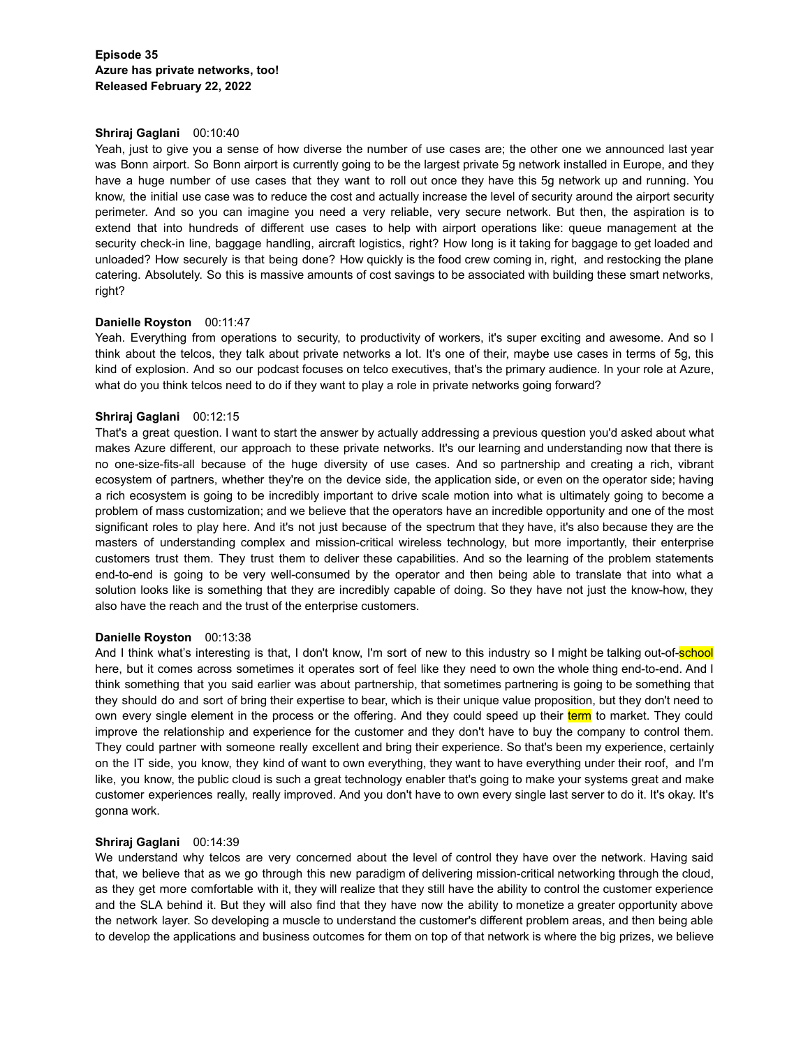# **Shriraj Gaglani** 00:10:40

Yeah, just to give you a sense of how diverse the number of use cases are; the other one we announced last year was Bonn airport. So Bonn airport is currently going to be the largest private 5g network installed in Europe, and they have a huge number of use cases that they want to roll out once they have this 5g network up and running. You know, the initial use case was to reduce the cost and actually increase the level of security around the airport security perimeter. And so you can imagine you need a very reliable, very secure network. But then, the aspiration is to extend that into hundreds of different use cases to help with airport operations like: queue management at the security check-in line, baggage handling, aircraft logistics, right? How long is it taking for baggage to get loaded and unloaded? How securely is that being done? How quickly is the food crew coming in, right, and restocking the plane catering. Absolutely. So this is massive amounts of cost savings to be associated with building these smart networks, right?

# **Danielle Royston** 00:11:47

Yeah. Everything from operations to security, to productivity of workers, it's super exciting and awesome. And so I think about the telcos, they talk about private networks a lot. It's one of their, maybe use cases in terms of 5g, this kind of explosion. And so our podcast focuses on telco executives, that's the primary audience. In your role at Azure, what do you think telcos need to do if they want to play a role in private networks going forward?

# **Shriraj Gaglani** 00:12:15

That's a great question. I want to start the answer by actually addressing a previous question you'd asked about what makes Azure different, our approach to these private networks. It's our learning and understanding now that there is no one-size-fits-all because of the huge diversity of use cases. And so partnership and creating a rich, vibrant ecosystem of partners, whether they're on the device side, the application side, or even on the operator side; having a rich ecosystem is going to be incredibly important to drive scale motion into what is ultimately going to become a problem of mass customization; and we believe that the operators have an incredible opportunity and one of the most significant roles to play here. And it's not just because of the spectrum that they have, it's also because they are the masters of understanding complex and mission-critical wireless technology, but more importantly, their enterprise customers trust them. They trust them to deliver these capabilities. And so the learning of the problem statements end-to-end is going to be very well-consumed by the operator and then being able to translate that into what a solution looks like is something that they are incredibly capable of doing. So they have not just the know-how, they also have the reach and the trust of the enterprise customers.

# **Danielle Royston** 00:13:38

And I think what's interesting is that, I don't know, I'm sort of new to this industry so I might be talking out-of-school here, but it comes across sometimes it operates sort of feel like they need to own the whole thing end-to-end. And I think something that you said earlier was about partnership, that sometimes partnering is going to be something that they should do and sort of bring their expertise to bear, which is their unique value proposition, but they don't need to own every single element in the process or the offering. And they could speed up their term to market. They could improve the relationship and experience for the customer and they don't have to buy the company to control them. They could partner with someone really excellent and bring their experience. So that's been my experience, certainly on the IT side, you know, they kind of want to own everything, they want to have everything under their roof, and I'm like, you know, the public cloud is such a great technology enabler that's going to make your systems great and make customer experiences really, really improved. And you don't have to own every single last server to do it. It's okay. It's gonna work.

# **Shriraj Gaglani** 00:14:39

We understand why telcos are very concerned about the level of control they have over the network. Having said that, we believe that as we go through this new paradigm of delivering mission-critical networking through the cloud, as they get more comfortable with it, they will realize that they still have the ability to control the customer experience and the SLA behind it. But they will also find that they have now the ability to monetize a greater opportunity above the network layer. So developing a muscle to understand the customer's different problem areas, and then being able to develop the applications and business outcomes for them on top of that network is where the big prizes, we believe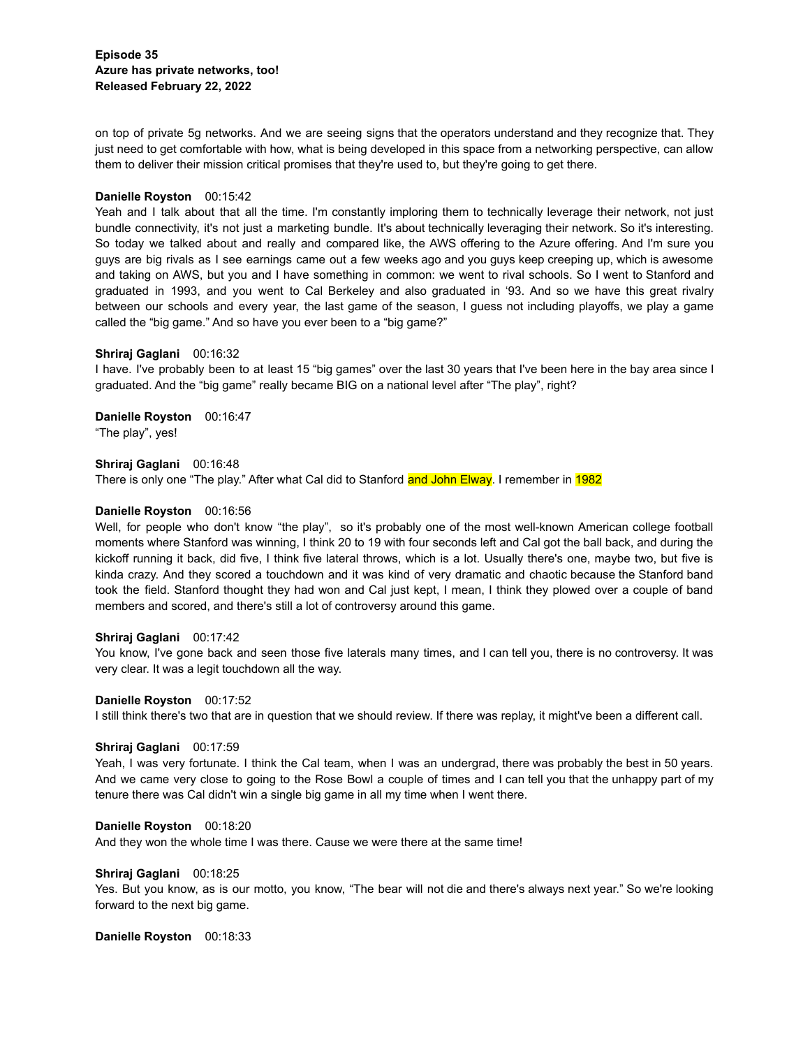**Episode 35 Azure has private networks, too! Released February 22, 2022**

on top of private 5g networks. And we are seeing signs that the operators understand and they recognize that. They just need to get comfortable with how, what is being developed in this space from a networking perspective, can allow them to deliver their mission critical promises that they're used to, but they're going to get there.

# **Danielle Royston** 00:15:42

Yeah and I talk about that all the time. I'm constantly imploring them to technically leverage their network, not just bundle connectivity, it's not just a marketing bundle. It's about technically leveraging their network. So it's interesting. So today we talked about and really and compared like, the AWS offering to the Azure offering. And I'm sure you guys are big rivals as I see earnings came out a few weeks ago and you guys keep creeping up, which is awesome and taking on AWS, but you and I have something in common: we went to rival schools. So I went to Stanford and graduated in 1993, and you went to Cal Berkeley and also graduated in '93. And so we have this great rivalry between our schools and every year, the last game of the season, I guess not including playoffs, we play a game called the "big game." And so have you ever been to a "big game?"

# **Shriraj Gaglani** 00:16:32

I have. I've probably been to at least 15 "big games" over the last 30 years that I've been here in the bay area since I graduated. And the "big game" really became BIG on a national level after "The play", right?

**Danielle Royston** 00:16:47 "The play", yes!

**Shriraj Gaglani** 00:16:48 There is only one "The play." After what Cal did to Stanford and John Elway. I remember in 1982

# **Danielle Royston** 00:16:56

Well, for people who don't know "the play", so it's probably one of the most well-known American college football moments where Stanford was winning, I think 20 to 19 with four seconds left and Cal got the ball back, and during the kickoff running it back, did five, I think five lateral throws, which is a lot. Usually there's one, maybe two, but five is kinda crazy. And they scored a touchdown and it was kind of very dramatic and chaotic because the Stanford band took the field. Stanford thought they had won and Cal just kept, I mean, I think they plowed over a couple of band members and scored, and there's still a lot of controversy around this game.

### **Shriraj Gaglani** 00:17:42

You know, I've gone back and seen those five laterals many times, and I can tell you, there is no controversy. It was very clear. It was a legit touchdown all the way.

### **Danielle Royston** 00:17:52

I still think there's two that are in question that we should review. If there was replay, it might've been a different call.

### **Shriraj Gaglani** 00:17:59

Yeah, I was very fortunate. I think the Cal team, when I was an undergrad, there was probably the best in 50 years. And we came very close to going to the Rose Bowl a couple of times and I can tell you that the unhappy part of my tenure there was Cal didn't win a single big game in all my time when I went there.

# **Danielle Royston** 00:18:20

And they won the whole time I was there. Cause we were there at the same time!

# **Shriraj Gaglani** 00:18:25

Yes. But you know, as is our motto, you know, "The bear will not die and there's always next year." So we're looking forward to the next big game.

**Danielle Royston** 00:18:33